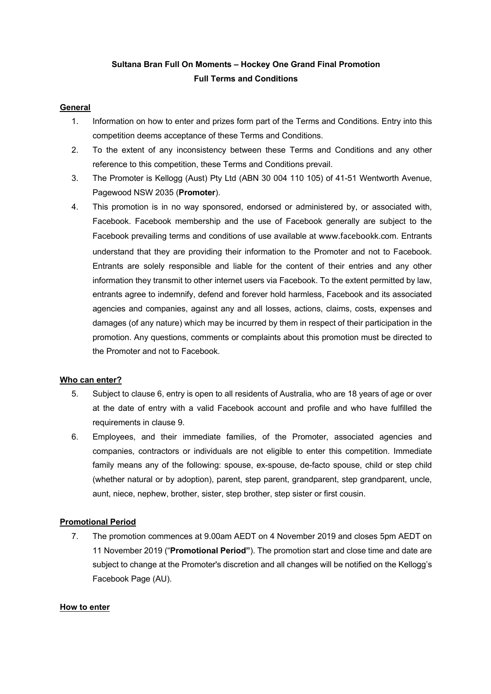# **Sultana Bran Full On Moments – Hockey One Grand Final Promotion Full Terms and Conditions**

### **General**

- 1. Information on how to enter and prizes form part of the Terms and Conditions. Entry into this competition deems acceptance of these Terms and Conditions.
- 2. To the extent of any inconsistency between these Terms and Conditions and any other reference to this competition, these Terms and Conditions prevail.
- 3. The Promoter is Kellogg (Aust) Pty Ltd (ABN 30 004 110 105) of 41-51 Wentworth Avenue, Pagewood NSW 2035 (**Promoter**).
- 4. This promotion is in no way sponsored, endorsed or administered by, or associated with, Facebook. Facebook membership and the use of Facebook generally are subject to the Facebook prevailing terms and conditions of use available at www.facebookk.com. Entrants understand that they are providing their information to the Promoter and not to Facebook. Entrants are solely responsible and liable for the content of their entries and any other information they transmit to other internet users via Facebook. To the extent permitted by law, entrants agree to indemnify, defend and forever hold harmless, Facebook and its associated agencies and companies, against any and all losses, actions, claims, costs, expenses and damages (of any nature) which may be incurred by them in respect of their participation in the promotion. Any questions, comments or complaints about this promotion must be directed to the Promoter and not to Facebook.

### **Who can enter?**

- 5. Subject to clause 6, entry is open to all residents of Australia, who are 18 years of age or over at the date of entry with a valid Facebook account and profile and who have fulfilled the requirements in clause 9.
- 6. Employees, and their immediate families, of the Promoter, associated agencies and companies, contractors or individuals are not eligible to enter this competition. Immediate family means any of the following: spouse, ex-spouse, de-facto spouse, child or step child (whether natural or by adoption), parent, step parent, grandparent, step grandparent, uncle, aunt, niece, nephew, brother, sister, step brother, step sister or first cousin.

### **Promotional Period**

7. The promotion commences at 9.00am AEDT on 4 November 2019 and closes 5pm AEDT on 11 November 2019 ("**Promotional Period"**). The promotion start and close time and date are subject to change at the Promoter's discretion and all changes will be notified on the Kellogg's Facebook Page (AU).

#### **How to enter**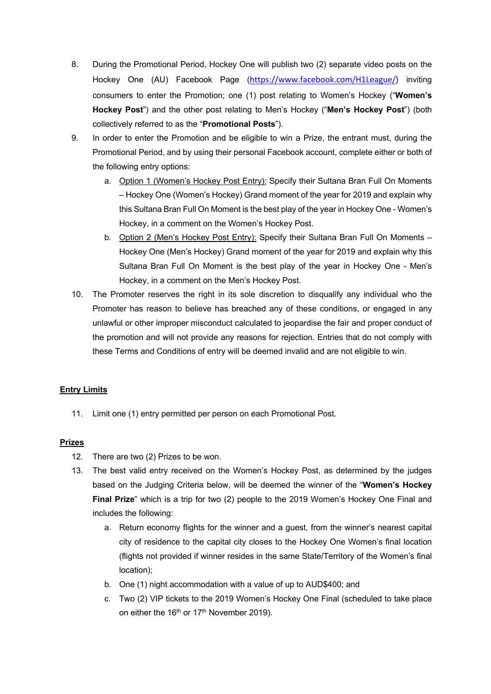- 8. During the Promotional Period, Hockey One will publish two (2) separate video posts on the Hockey One (AU) Facebook Page (https://www.facebook.com/H1League/) inviting consumers to enter the Promotion; one (1) post relating to Women's Hockey ("**Women's Hockey Post**") and the other post relating to Men's Hockey ("**Men's Hockey Post**") (both collectively referred to as the "**Promotional Posts**").
- 9. In order to enter the Promotion and be eligible to win a Prize, the entrant must, during the Promotional Period, and by using their personal Facebook account, complete either or both of the following entry options:
	- a. Option 1 (Women's Hockey Post Entry): Specify their Sultana Bran Full On Moments – Hockey One (Women's Hockey) Grand moment of the year for 2019 and explain why this Sultana Bran Full On Moment is the best play of the year in Hockey One - Women's Hockey, in a comment on the Women's Hockey Post.
	- b. Option 2 (Men's Hockey Post Entry): Specify their Sultana Bran Full On Moments Hockey One (Men's Hockey) Grand moment of the year for 2019 and explain why this Sultana Bran Full On Moment is the best play of the year in Hockey One - Men's Hockey, in a comment on the Men's Hockey Post.
- 10. The Promoter reserves the right in its sole discretion to disqualify any individual who the Promoter has reason to believe has breached any of these conditions, or engaged in any unlawful or other improper misconduct calculated to jeopardise the fair and proper conduct of the promotion and will not provide any reasons for rejection. Entries that do not comply with these Terms and Conditions of entry will be deemed invalid and are not eligible to win.

# **Entry Limits**

11. Limit one (1) entry permitted per person on each Promotional Post.

# **Prizes**

- 12. There are two (2) Prizes to be won.
- 13. The best valid entry received on the Women's Hockey Post, as determined by the judges based on the Judging Criteria below, will be deemed the winner of the "**Women's Hockey Final Prize**" which is a trip for two (2) people to the 2019 Women's Hockey One Final and includes the following:
	- a. Return economy flights for the winner and a guest, from the winner's nearest capital city of residence to the capital city closes to the Hockey One Women's final location (flights not provided if winner resides in the same State/Territory of the Women's final location);
	- b. One (1) night accommodation with a value of up to AUD\$400; and
	- c. Two (2) VIP tickets to the 2019 Women's Hockey One Final (scheduled to take place on either the 16<sup>th</sup> or 17<sup>th</sup> November 2019).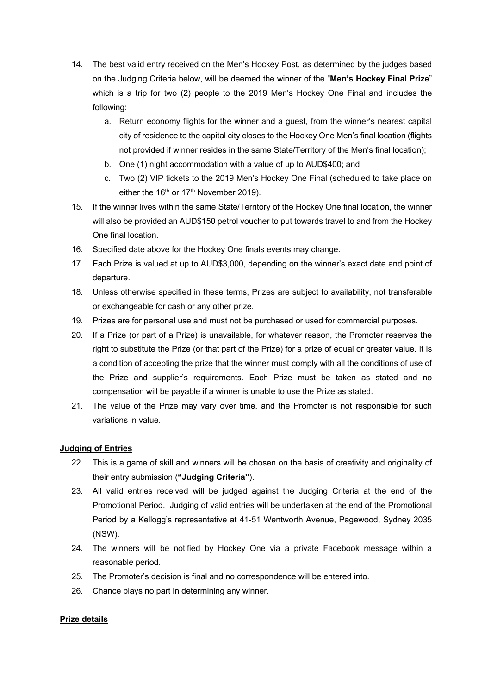- 14. The best valid entry received on the Men's Hockey Post, as determined by the judges based on the Judging Criteria below, will be deemed the winner of the "**Men's Hockey Final Prize**" which is a trip for two (2) people to the 2019 Men's Hockey One Final and includes the following:
	- a. Return economy flights for the winner and a guest, from the winner's nearest capital city of residence to the capital city closes to the Hockey One Men's final location (flights not provided if winner resides in the same State/Territory of the Men's final location);
	- b. One (1) night accommodation with a value of up to AUD\$400; and
	- c. Two (2) VIP tickets to the 2019 Men's Hockey One Final (scheduled to take place on either the  $16<sup>th</sup>$  or  $17<sup>th</sup>$  November 2019).
- 15. If the winner lives within the same State/Territory of the Hockey One final location, the winner will also be provided an AUD\$150 petrol voucher to put towards travel to and from the Hockey One final location.
- 16. Specified date above for the Hockey One finals events may change.
- 17. Each Prize is valued at up to AUD\$3,000, depending on the winner's exact date and point of departure.
- 18. Unless otherwise specified in these terms, Prizes are subject to availability, not transferable or exchangeable for cash or any other prize.
- 19. Prizes are for personal use and must not be purchased or used for commercial purposes.
- 20. If a Prize (or part of a Prize) is unavailable, for whatever reason, the Promoter reserves the right to substitute the Prize (or that part of the Prize) for a prize of equal or greater value. It is a condition of accepting the prize that the winner must comply with all the conditions of use of the Prize and supplier's requirements. Each Prize must be taken as stated and no compensation will be payable if a winner is unable to use the Prize as stated.
- 21. The value of the Prize may vary over time, and the Promoter is not responsible for such variations in value.

### **Judging of Entries**

- 22. This is a game of skill and winners will be chosen on the basis of creativity and originality of their entry submission (**"Judging Criteria"**).
- 23. All valid entries received will be judged against the Judging Criteria at the end of the Promotional Period. Judging of valid entries will be undertaken at the end of the Promotional Period by a Kellogg's representative at 41-51 Wentworth Avenue, Pagewood, Sydney 2035 (NSW).
- 24. The winners will be notified by Hockey One via a private Facebook message within a reasonable period.
- 25. The Promoter's decision is final and no correspondence will be entered into.
- 26. Chance plays no part in determining any winner.

### **Prize details**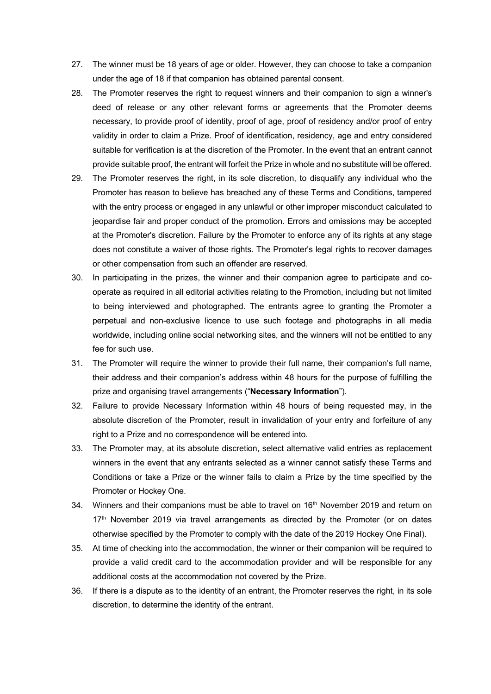- 27. The winner must be 18 years of age or older. However, they can choose to take a companion under the age of 18 if that companion has obtained parental consent.
- 28. The Promoter reserves the right to request winners and their companion to sign a winner's deed of release or any other relevant forms or agreements that the Promoter deems necessary, to provide proof of identity, proof of age, proof of residency and/or proof of entry validity in order to claim a Prize. Proof of identification, residency, age and entry considered suitable for verification is at the discretion of the Promoter. In the event that an entrant cannot provide suitable proof, the entrant will forfeit the Prize in whole and no substitute will be offered.
- 29. The Promoter reserves the right, in its sole discretion, to disqualify any individual who the Promoter has reason to believe has breached any of these Terms and Conditions, tampered with the entry process or engaged in any unlawful or other improper misconduct calculated to jeopardise fair and proper conduct of the promotion. Errors and omissions may be accepted at the Promoter's discretion. Failure by the Promoter to enforce any of its rights at any stage does not constitute a waiver of those rights. The Promoter's legal rights to recover damages or other compensation from such an offender are reserved.
- 30. In participating in the prizes, the winner and their companion agree to participate and cooperate as required in all editorial activities relating to the Promotion, including but not limited to being interviewed and photographed. The entrants agree to granting the Promoter a perpetual and non-exclusive licence to use such footage and photographs in all media worldwide, including online social networking sites, and the winners will not be entitled to any fee for such use.
- 31. The Promoter will require the winner to provide their full name, their companion's full name, their address and their companion's address within 48 hours for the purpose of fulfilling the prize and organising travel arrangements ("**Necessary Information**").
- 32. Failure to provide Necessary Information within 48 hours of being requested may, in the absolute discretion of the Promoter, result in invalidation of your entry and forfeiture of any right to a Prize and no correspondence will be entered into.
- 33. The Promoter may, at its absolute discretion, select alternative valid entries as replacement winners in the event that any entrants selected as a winner cannot satisfy these Terms and Conditions or take a Prize or the winner fails to claim a Prize by the time specified by the Promoter or Hockey One.
- 34. Winners and their companions must be able to travel on  $16<sup>th</sup>$  November 2019 and return on 17<sup>th</sup> November 2019 via travel arrangements as directed by the Promoter (or on dates otherwise specified by the Promoter to comply with the date of the 2019 Hockey One Final).
- 35. At time of checking into the accommodation, the winner or their companion will be required to provide a valid credit card to the accommodation provider and will be responsible for any additional costs at the accommodation not covered by the Prize.
- 36. If there is a dispute as to the identity of an entrant, the Promoter reserves the right, in its sole discretion, to determine the identity of the entrant.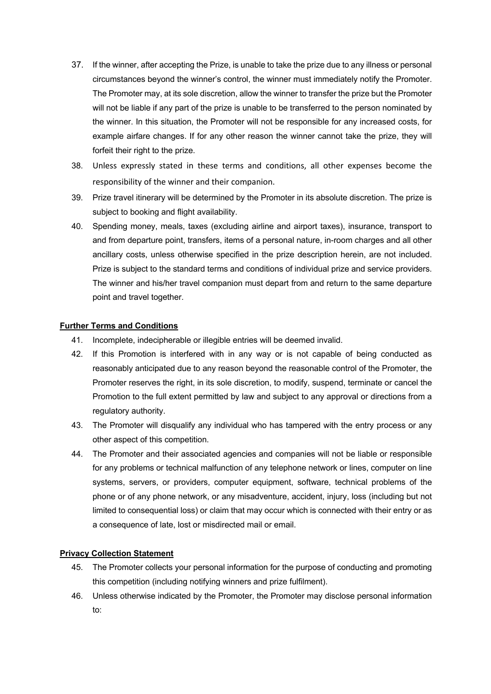- 37. If the winner, after accepting the Prize, is unable to take the prize due to any illness or personal circumstances beyond the winner's control, the winner must immediately notify the Promoter. The Promoter may, at its sole discretion, allow the winner to transfer the prize but the Promoter will not be liable if any part of the prize is unable to be transferred to the person nominated by the winner. In this situation, the Promoter will not be responsible for any increased costs, for example airfare changes. If for any other reason the winner cannot take the prize, they will forfeit their right to the prize.
- 38. Unless expressly stated in these terms and conditions, all other expenses become the responsibility of the winner and their companion.
- 39. Prize travel itinerary will be determined by the Promoter in its absolute discretion. The prize is subject to booking and flight availability.
- 40. Spending money, meals, taxes (excluding airline and airport taxes), insurance, transport to and from departure point, transfers, items of a personal nature, in-room charges and all other ancillary costs, unless otherwise specified in the prize description herein, are not included. Prize is subject to the standard terms and conditions of individual prize and service providers. The winner and his/her travel companion must depart from and return to the same departure point and travel together.

### **Further Terms and Conditions**

- 41. Incomplete, indecipherable or illegible entries will be deemed invalid.
- 42. If this Promotion is interfered with in any way or is not capable of being conducted as reasonably anticipated due to any reason beyond the reasonable control of the Promoter, the Promoter reserves the right, in its sole discretion, to modify, suspend, terminate or cancel the Promotion to the full extent permitted by law and subject to any approval or directions from a regulatory authority.
- 43. The Promoter will disqualify any individual who has tampered with the entry process or any other aspect of this competition.
- 44. The Promoter and their associated agencies and companies will not be liable or responsible for any problems or technical malfunction of any telephone network or lines, computer on line systems, servers, or providers, computer equipment, software, technical problems of the phone or of any phone network, or any misadventure, accident, injury, loss (including but not limited to consequential loss) or claim that may occur which is connected with their entry or as a consequence of late, lost or misdirected mail or email.

### **Privacy Collection Statement**

- 45. The Promoter collects your personal information for the purpose of conducting and promoting this competition (including notifying winners and prize fulfilment).
- 46. Unless otherwise indicated by the Promoter, the Promoter may disclose personal information to: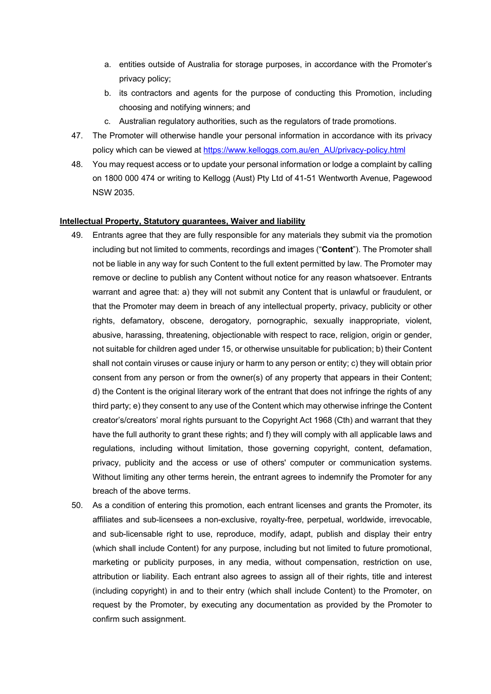- a. entities outside of Australia for storage purposes, in accordance with the Promoter's privacy policy;
- b. its contractors and agents for the purpose of conducting this Promotion, including choosing and notifying winners; and
- c. Australian regulatory authorities, such as the regulators of trade promotions.
- 47. The Promoter will otherwise handle your personal information in accordance with its privacy policy which can be viewed at https://www.kelloggs.com.au/en\_AU/privacy-policy.html
- 48. You may request access or to update your personal information or lodge a complaint by calling on 1800 000 474 or writing to Kellogg (Aust) Pty Ltd of 41-51 Wentworth Avenue, Pagewood NSW 2035.

#### **Intellectual Property, Statutory guarantees, Waiver and liability**

- 49. Entrants agree that they are fully responsible for any materials they submit via the promotion including but not limited to comments, recordings and images ("**Content**"). The Promoter shall not be liable in any way for such Content to the full extent permitted by law. The Promoter may remove or decline to publish any Content without notice for any reason whatsoever. Entrants warrant and agree that: a) they will not submit any Content that is unlawful or fraudulent, or that the Promoter may deem in breach of any intellectual property, privacy, publicity or other rights, defamatory, obscene, derogatory, pornographic, sexually inappropriate, violent, abusive, harassing, threatening, objectionable with respect to race, religion, origin or gender, not suitable for children aged under 15, or otherwise unsuitable for publication; b) their Content shall not contain viruses or cause injury or harm to any person or entity; c) they will obtain prior consent from any person or from the owner(s) of any property that appears in their Content; d) the Content is the original literary work of the entrant that does not infringe the rights of any third party; e) they consent to any use of the Content which may otherwise infringe the Content creator's/creators' moral rights pursuant to the Copyright Act 1968 (Cth) and warrant that they have the full authority to grant these rights; and f) they will comply with all applicable laws and regulations, including without limitation, those governing copyright, content, defamation, privacy, publicity and the access or use of others' computer or communication systems. Without limiting any other terms herein, the entrant agrees to indemnify the Promoter for any breach of the above terms.
- 50. As a condition of entering this promotion, each entrant licenses and grants the Promoter, its affiliates and sub-licensees a non-exclusive, royalty-free, perpetual, worldwide, irrevocable, and sub-licensable right to use, reproduce, modify, adapt, publish and display their entry (which shall include Content) for any purpose, including but not limited to future promotional, marketing or publicity purposes, in any media, without compensation, restriction on use, attribution or liability. Each entrant also agrees to assign all of their rights, title and interest (including copyright) in and to their entry (which shall include Content) to the Promoter, on request by the Promoter, by executing any documentation as provided by the Promoter to confirm such assignment.